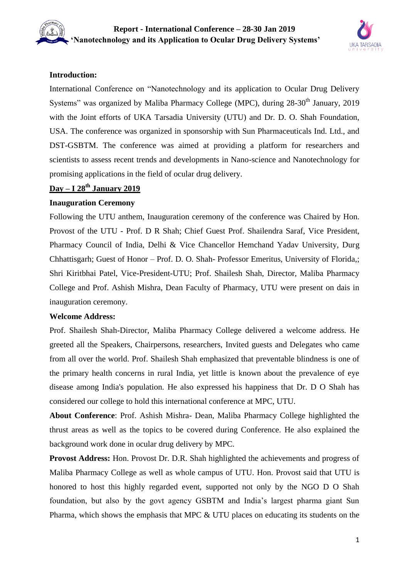

#### **Introduction:**

International Conference on "Nanotechnology and its application to Ocular Drug Delivery Systems" was organized by Maliba Pharmacy College (MPC), during 28-30<sup>th</sup> January, 2019 with the Joint efforts of UKA Tarsadia University (UTU) and Dr. D. O. Shah Foundation, USA. The conference was organized in sponsorship with Sun Pharmaceuticals Ind. Ltd., and DST-GSBTM. The conference was aimed at providing a platform for researchers and scientists to assess recent trends and developments in Nano-science and Nanotechnology for promising applications in the field of ocular drug delivery.

### **Day – I 28th January 2019**

#### **Inauguration Ceremony**

Following the UTU anthem, Inauguration ceremony of the conference was Chaired by Hon. Provost of the UTU - Prof. D R Shah; Chief Guest Prof. Shailendra Saraf, Vice President, Pharmacy Council of India, Delhi & Vice Chancellor Hemchand Yadav University, Durg Chhattisgarh; Guest of Honor – Prof. D. O. Shah- Professor Emeritus, University of Florida,; Shri Kiritbhai Patel, Vice-President-UTU; Prof. Shailesh Shah, Director, Maliba Pharmacy College and Prof. Ashish Mishra, Dean Faculty of Pharmacy, UTU were present on dais in inauguration ceremony.

#### **Welcome Address:**

Prof. Shailesh Shah-Director, Maliba Pharmacy College delivered a welcome address. He greeted all the Speakers, Chairpersons, researchers, Invited guests and Delegates who came from all over the world. Prof. Shailesh Shah emphasized that preventable blindness is one of the primary health concerns in rural India, yet little is known about the prevalence of eye disease among India's population. He also expressed his happiness that Dr. D O Shah has considered our college to hold this international conference at MPC, UTU.

**About Conference**: Prof. Ashish Mishra- Dean, Maliba Pharmacy College highlighted the thrust areas as well as the topics to be covered during Conference. He also explained the background work done in ocular drug delivery by MPC.

**Provost Address:** Hon. Provost Dr. D.R. Shah highlighted the achievements and progress of Maliba Pharmacy College as well as whole campus of UTU. Hon. Provost said that UTU is honored to host this highly regarded event, supported not only by the NGO D O Shah foundation, but also by the govt agency GSBTM and India's largest pharma giant Sun Pharma, which shows the emphasis that MPC & UTU places on educating its students on the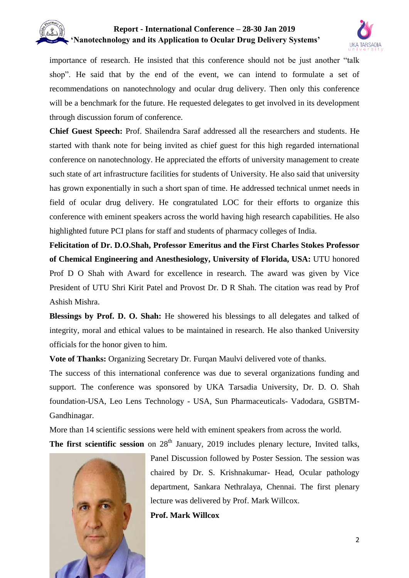

importance of research. He insisted that this conference should not be just another "talk shop". He said that by the end of the event, we can intend to formulate a set of recommendations on nanotechnology and ocular drug delivery. Then only this conference will be a benchmark for the future. He requested delegates to get involved in its development through discussion forum of conference.

**Chief Guest Speech:** Prof. Shailendra Saraf addressed all the researchers and students. He started with thank note for being invited as chief guest for this high regarded international conference on nanotechnology. He appreciated the efforts of university management to create such state of art infrastructure facilities for students of University. He also said that university has grown exponentially in such a short span of time. He addressed technical unmet needs in field of ocular drug delivery. He congratulated LOC for their efforts to organize this conference with eminent speakers across the world having high research capabilities. He also highlighted future PCI plans for staff and students of pharmacy colleges of India.

**Felicitation of Dr. D.O.Shah, Professor Emeritus and the First Charles Stokes Professor of Chemical Engineering and Anesthesiology, University of Florida, USA:** UTU honored Prof D O Shah with Award for excellence in research. The award was given by Vice President of UTU Shri Kirit Patel and Provost Dr. D R Shah. The citation was read by Prof Ashish Mishra.

**Blessings by Prof. D. O. Shah:** He showered his blessings to all delegates and talked of integrity, moral and ethical values to be maintained in research. He also thanked University officials for the honor given to him.

**Vote of Thanks:** Organizing Secretary Dr. Furqan Maulvi delivered vote of thanks.

The success of this international conference was due to several organizations funding and support. The conference was sponsored by UKA Tarsadia University, Dr. D. O. Shah foundation-USA, Leo Lens Technology - USA, Sun Pharmaceuticals- Vadodara, GSBTM-Gandhinagar.

More than 14 scientific sessions were held with eminent speakers from across the world.

**The first scientific session** on 28<sup>th</sup> January, 2019 includes plenary lecture, Invited talks,



Panel Discussion followed by Poster Session. The session was chaired by Dr. S. Krishnakumar- Head, Ocular pathology department, Sankara Nethralaya, Chennai. The first plenary lecture was delivered by Prof. Mark Willcox.

**Prof. Mark Willcox**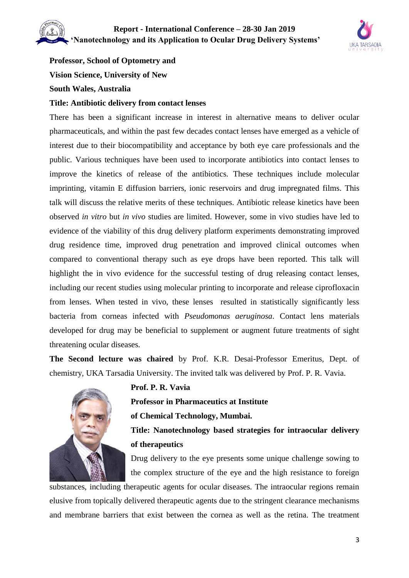

# **Professor, School of Optometry and**

**Vision Science, University of New**

### **South Wales, Australia**

#### **Title: Antibiotic delivery from contact lenses**

There has been a significant increase in interest in alternative means to deliver ocular pharmaceuticals, and within the past few decades contact lenses have emerged as a vehicle of interest due to their biocompatibility and acceptance by both eye care professionals and the public. Various techniques have been used to incorporate antibiotics into contact lenses to improve the kinetics of release of the antibiotics. These techniques include molecular imprinting, vitamin E diffusion barriers, ionic reservoirs and drug impregnated films. This talk will discuss the relative merits of these techniques. Antibiotic release kinetics have been observed *in vitro* but *in vivo* studies are limited. However, some in vivo studies have led to evidence of the viability of this drug delivery platform experiments demonstrating improved drug residence time, improved drug penetration and improved clinical outcomes when compared to conventional therapy such as eye drops have been reported. This talk will highlight the in vivo evidence for the successful testing of drug releasing contact lenses, including our recent studies using molecular printing to incorporate and release ciprofloxacin from lenses. When tested in vivo, these lenses resulted in statistically significantly less bacteria from corneas infected with *Pseudomonas aeruginosa*. Contact lens materials developed for drug may be beneficial to supplement or augment future treatments of sight threatening ocular diseases.

**The Second lecture was chaired** by Prof. K.R. Desai-Professor Emeritus, Dept. of chemistry, UKA Tarsadia University. The invited talk was delivered by Prof. P. R. Vavia.



# **Prof. P. R. Vavia Professor in Pharmaceutics at Institute**

**of Chemical Technology, Mumbai.**

**Title: Nanotechnology based strategies for intraocular delivery of therapeutics**

Drug delivery to the eye presents some unique challenge sowing to the complex structure of the eye and the high resistance to foreign

substances, including therapeutic agents for ocular diseases. The intraocular regions remain elusive from topically delivered therapeutic agents due to the stringent clearance mechanisms and membrane barriers that exist between the cornea as well as the retina. The treatment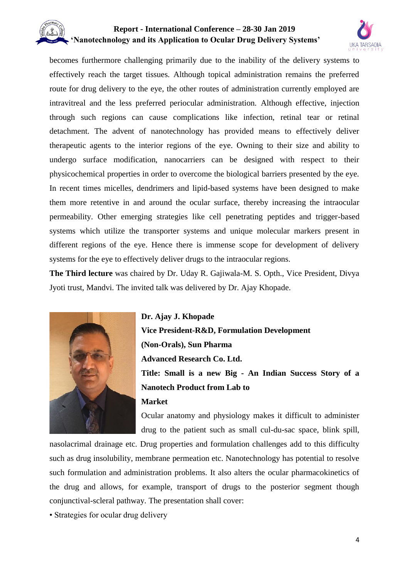

becomes furthermore challenging primarily due to the inability of the delivery systems to effectively reach the target tissues. Although topical administration remains the preferred route for drug delivery to the eye, the other routes of administration currently employed are intravitreal and the less preferred periocular administration. Although effective, injection through such regions can cause complications like infection, retinal tear or retinal detachment. The advent of nanotechnology has provided means to effectively deliver therapeutic agents to the interior regions of the eye. Owning to their size and ability to undergo surface modification, nanocarriers can be designed with respect to their physicochemical properties in order to overcome the biological barriers presented by the eye. In recent times micelles, dendrimers and lipid-based systems have been designed to make them more retentive in and around the ocular surface, thereby increasing the intraocular permeability. Other emerging strategies like cell penetrating peptides and trigger-based systems which utilize the transporter systems and unique molecular markers present in different regions of the eye. Hence there is immense scope for development of delivery systems for the eye to effectively deliver drugs to the intraocular regions.

**The Third lecture** was chaired by Dr. Uday R. Gajiwala-M. S. Opth., Vice President, Divya Jyoti trust, Mandvi. The invited talk was delivered by Dr. Ajay Khopade.



**Dr. Ajay J. Khopade Vice President-R&D, Formulation Development (Non-Orals), Sun Pharma Advanced Research Co. Ltd. Title: Small is a new Big - An Indian Success Story of a Nanotech Product from Lab to**

#### **Market**

Ocular anatomy and physiology makes it difficult to administer drug to the patient such as small cul-du-sac space, blink spill,

nasolacrimal drainage etc. Drug properties and formulation challenges add to this difficulty such as drug insolubility, membrane permeation etc. Nanotechnology has potential to resolve such formulation and administration problems. It also alters the ocular pharmacokinetics of the drug and allows, for example, transport of drugs to the posterior segment though conjunctival-scleral pathway. The presentation shall cover:

• Strategies for ocular drug delivery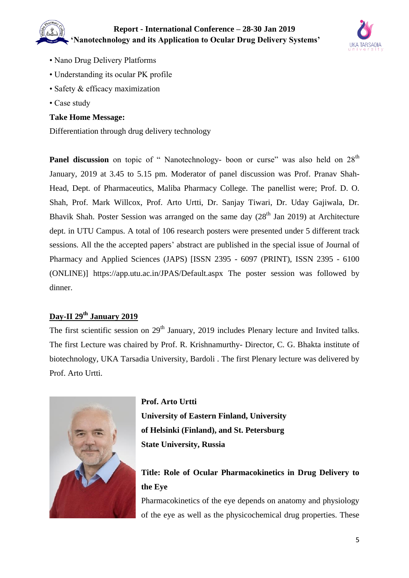

- Nano Drug Delivery Platforms
- Understanding its ocular PK profile
- Safety & efficacy maximization
- Case study

#### **Take Home Message:**

Differentiation through drug delivery technology

**Panel discussion** on topic of " Nanotechnology- boon or curse" was also held on 28<sup>th</sup> January, 2019 at 3.45 to 5.15 pm. Moderator of panel discussion was Prof. Pranav Shah-Head, Dept. of Pharmaceutics, Maliba Pharmacy College. The panellist were; Prof. D. O. Shah, Prof. Mark Willcox, Prof. Arto Urtti, Dr. Sanjay Tiwari, Dr. Uday Gajiwala, Dr. Bhavik Shah. Poster Session was arranged on the same day  $(28<sup>th</sup>$  Jan 2019) at Architecture dept. in UTU Campus. A total of 106 research posters were presented under 5 different track sessions. All the the accepted papers' abstract are published in the special issue of Journal of Pharmacy and Applied Sciences (JAPS) [ISSN 2395 - 6097 (PRINT), ISSN 2395 - 6100 (ONLINE)] https://app.utu.ac.in/JPAS/Default.aspx The poster session was followed by dinner.

### **Day-II 29th January 2019**

The first scientific session on  $29<sup>th</sup>$  January, 2019 includes Plenary lecture and Invited talks. The first Lecture was chaired by Prof. R. Krishnamurthy- Director, C. G. Bhakta institute of biotechnology, UKA Tarsadia University, Bardoli . The first Plenary lecture was delivered by Prof. Arto Urtti.



**Prof. Arto Urtti University of Eastern Finland, University of Helsinki (Finland), and St. Petersburg State University, Russia**

# **Title: Role of Ocular Pharmacokinetics in Drug Delivery to the Eye**

Pharmacokinetics of the eye depends on anatomy and physiology of the eye as well as the physicochemical drug properties. These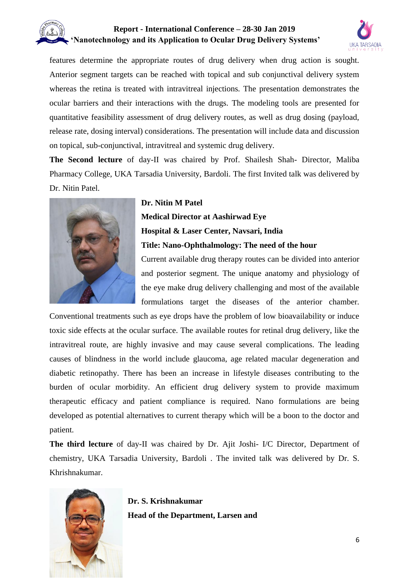

features determine the appropriate routes of drug delivery when drug action is sought. Anterior segment targets can be reached with topical and sub conjunctival delivery system whereas the retina is treated with intravitreal injections. The presentation demonstrates the ocular barriers and their interactions with the drugs. The modeling tools are presented for quantitative feasibility assessment of drug delivery routes, as well as drug dosing (payload, release rate, dosing interval) considerations. The presentation will include data and discussion on topical, sub-conjunctival, intravitreal and systemic drug delivery.

**The Second lecture** of day-II was chaired by Prof. Shailesh Shah- Director, Maliba Pharmacy College, UKA Tarsadia University, Bardoli. The first Invited talk was delivered by Dr. Nitin Patel.



#### **Dr. Nitin M Patel**

**Medical Director at Aashirwad Eye Hospital & Laser Center, Navsari, India Title: Nano-Ophthalmology: The need of the hour** Current available drug therapy routes can be divided into anterior

and posterior segment. The unique anatomy and physiology of the eye make drug delivery challenging and most of the available formulations target the diseases of the anterior chamber.

Conventional treatments such as eye drops have the problem of low bioavailability or induce toxic side effects at the ocular surface. The available routes for retinal drug delivery, like the intravitreal route, are highly invasive and may cause several complications. The leading causes of blindness in the world include glaucoma, age related macular degeneration and diabetic retinopathy. There has been an increase in lifestyle diseases contributing to the burden of ocular morbidity. An efficient drug delivery system to provide maximum therapeutic efficacy and patient compliance is required. Nano formulations are being developed as potential alternatives to current therapy which will be a boon to the doctor and patient.

**The third lecture** of day-II was chaired by Dr. Ajit Joshi- I/C Director, Department of chemistry, UKA Tarsadia University, Bardoli . The invited talk was delivered by Dr. S. Khrishnakumar.



**Dr. S. Krishnakumar Head of the Department, Larsen and**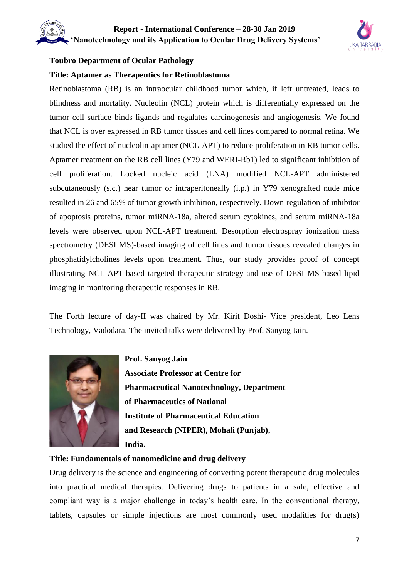

#### **Toubro Department of Ocular Pathology**

#### **Title: Aptamer as Therapeutics for Retinoblastoma**

Retinoblastoma (RB) is an intraocular childhood tumor which, if left untreated, leads to blindness and mortality. Nucleolin (NCL) protein which is differentially expressed on the tumor cell surface binds ligands and regulates carcinogenesis and angiogenesis. We found that NCL is over expressed in RB tumor tissues and cell lines compared to normal retina. We studied the effect of nucleolin-aptamer (NCL-APT) to reduce proliferation in RB tumor cells. Aptamer treatment on the RB cell lines (Y79 and WERI-Rb1) led to significant inhibition of cell proliferation. Locked nucleic acid (LNA) modified NCL-APT administered subcutaneously (s.c.) near tumor or intraperitoneally (i.p.) in Y79 xenografted nude mice resulted in 26 and 65% of tumor growth inhibition, respectively. Down-regulation of inhibitor of apoptosis proteins, tumor miRNA-18a, altered serum cytokines, and serum miRNA-18a levels were observed upon NCL-APT treatment. Desorption electrospray ionization mass spectrometry (DESI MS)-based imaging of cell lines and tumor tissues revealed changes in phosphatidylcholines levels upon treatment. Thus, our study provides proof of concept illustrating NCL-APT-based targeted therapeutic strategy and use of DESI MS-based lipid imaging in monitoring therapeutic responses in RB.

The Forth lecture of day-II was chaired by Mr. Kirit Doshi- Vice president, Leo Lens Technology, Vadodara. The invited talks were delivered by Prof. Sanyog Jain.



**Prof. Sanyog Jain Associate Professor at Centre for Pharmaceutical Nanotechnology, Department of Pharmaceutics of National Institute of Pharmaceutical Education and Research (NIPER), Mohali (Punjab), India.**

#### **Title: Fundamentals of nanomedicine and drug delivery**

Drug delivery is the science and engineering of converting potent therapeutic drug molecules into practical medical therapies. Delivering drugs to patients in a safe, effective and compliant way is a major challenge in today's health care. In the conventional therapy, tablets, capsules or simple injections are most commonly used modalities for drug(s)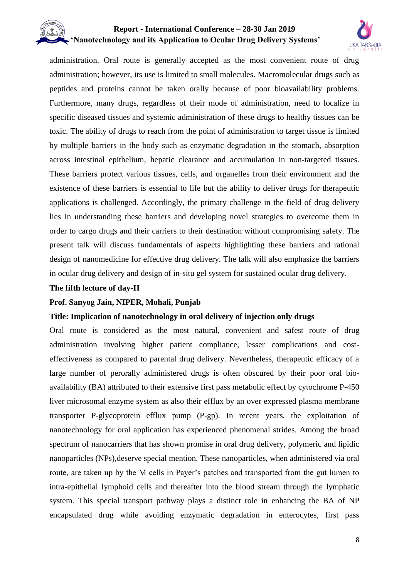

administration. Oral route is generally accepted as the most convenient route of drug administration; however, its use is limited to small molecules. Macromolecular drugs such as peptides and proteins cannot be taken orally because of poor bioavailability problems. Furthermore, many drugs, regardless of their mode of administration, need to localize in specific diseased tissues and systemic administration of these drugs to healthy tissues can be toxic. The ability of drugs to reach from the point of administration to target tissue is limited by multiple barriers in the body such as enzymatic degradation in the stomach, absorption across intestinal epithelium, hepatic clearance and accumulation in non-targeted tissues. These barriers protect various tissues, cells, and organelles from their environment and the existence of these barriers is essential to life but the ability to deliver drugs for therapeutic applications is challenged. Accordingly, the primary challenge in the field of drug delivery lies in understanding these barriers and developing novel strategies to overcome them in order to cargo drugs and their carriers to their destination without compromising safety. The present talk will discuss fundamentals of aspects highlighting these barriers and rational design of nanomedicine for effective drug delivery. The talk will also emphasize the barriers in ocular drug delivery and design of in-situ gel system for sustained ocular drug delivery.

#### **The fifth lecture of day-II**

#### **Prof. Sanyog Jain, NIPER, Mohali, Punjab**

#### **Title: Implication of nanotechnology in oral delivery of injection only drugs**

Oral route is considered as the most natural, convenient and safest route of drug administration involving higher patient compliance, lesser complications and costeffectiveness as compared to parental drug delivery. Nevertheless, therapeutic efficacy of a large number of perorally administered drugs is often obscured by their poor oral bioavailability (BA) attributed to their extensive first pass metabolic effect by cytochrome P-450 liver microsomal enzyme system as also their efflux by an over expressed plasma membrane transporter P-glycoprotein efflux pump (P-gp). In recent years, the exploitation of nanotechnology for oral application has experienced phenomenal strides. Among the broad spectrum of nanocarriers that has shown promise in oral drug delivery, polymeric and lipidic nanoparticles (NPs),deserve special mention. These nanoparticles, when administered via oral route, are taken up by the M cells in Payer's patches and transported from the gut lumen to intra-epithelial lymphoid cells and thereafter into the blood stream through the lymphatic system. This special transport pathway plays a distinct role in enhancing the BA of NP encapsulated drug while avoiding enzymatic degradation in enterocytes, first pass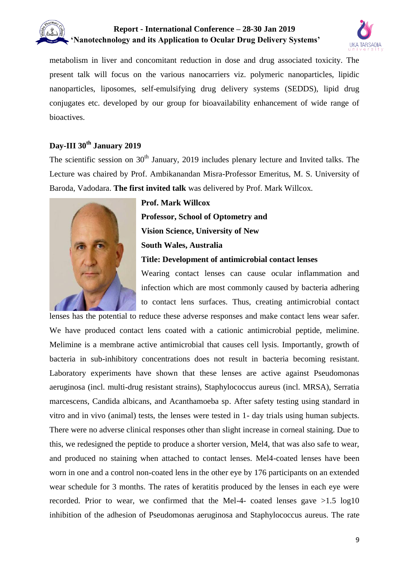

metabolism in liver and concomitant reduction in dose and drug associated toxicity. The present talk will focus on the various nanocarriers viz. polymeric nanoparticles, lipidic nanoparticles, liposomes, self-emulsifying drug delivery systems (SEDDS), lipid drug conjugates etc. developed by our group for bioavailability enhancement of wide range of bioactives.

### **Day-III 30th January 2019**

The scientific session on 30<sup>th</sup> January, 2019 includes plenary lecture and Invited talks. The Lecture was chaired by Prof. Ambikanandan Misra-Professor Emeritus, M. S. University of Baroda, Vadodara. **The first invited talk** was delivered by Prof. Mark Willcox.



#### **Prof. Mark Willcox**

**Professor, School of Optometry and Vision Science, University of New South Wales, Australia Title: Development of antimicrobial contact lenses**

Wearing contact lenses can cause ocular inflammation and infection which are most commonly caused by bacteria adhering to contact lens surfaces. Thus, creating antimicrobial contact

lenses has the potential to reduce these adverse responses and make contact lens wear safer. We have produced contact lens coated with a cationic antimicrobial peptide, melimine. Melimine is a membrane active antimicrobial that causes cell lysis. Importantly, growth of bacteria in sub-inhibitory concentrations does not result in bacteria becoming resistant. Laboratory experiments have shown that these lenses are active against Pseudomonas aeruginosa (incl. multi-drug resistant strains), Staphylococcus aureus (incl. MRSA), Serratia marcescens, Candida albicans, and Acanthamoeba sp. After safety testing using standard in vitro and in vivo (animal) tests, the lenses were tested in 1- day trials using human subjects. There were no adverse clinical responses other than slight increase in corneal staining. Due to this, we redesigned the peptide to produce a shorter version, Mel4, that was also safe to wear, and produced no staining when attached to contact lenses. Mel4-coated lenses have been worn in one and a control non-coated lens in the other eye by 176 participants on an extended wear schedule for 3 months. The rates of keratitis produced by the lenses in each eye were recorded. Prior to wear, we confirmed that the Mel-4- coated lenses gave  $>1.5$  log10 inhibition of the adhesion of Pseudomonas aeruginosa and Staphylococcus aureus. The rate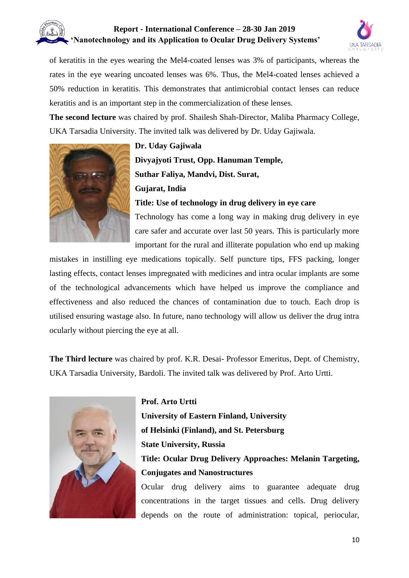

of keratitis in the eyes wearing the Mel4-coated lenses was 3% of participants, whereas the rates in the eye wearing uncoated lenses was 6%. Thus, the Mel4-coated lenses achieved a 50% reduction in keratitis. This demonstrates that antimicrobial contact lenses can reduce keratitis and is an important step in the commercialization of these lenses.

**The second lecture** was chaired by prof. Shailesh Shah-Director, Maliba Pharmacy College, UKA Tarsadia University. The invited talk was delivered by Dr. Uday Gajiwala.



**Dr. Uday Gajiwala Divyajyoti Trust, Opp. Hanuman Temple, Suthar Faliya, Mandvi, Dist. Surat, Gujarat, India Title: Use of technology in drug delivery in eye care** Technology has come a long way in making drug delivery in eye care safer and accurate over last 50 years. This is particularly more important for the rural and illiterate population who end up making

mistakes in instilling eye medications topically. Self puncture tips, FFS packing, longer lasting effects, contact lenses impregnated with medicines and intra ocular implants are some of the technological advancements which have helped us improve the compliance and effectiveness and also reduced the chances of contamination due to touch. Each drop is utilised ensuring wastage also. In future, nano technology will allow us deliver the drug intra ocularly without piercing the eye at all.

**The Third lecture** was chaired by prof. K.R. Desai- Professor Emeritus, Dept. of Chemistry, UKA Tarsadia University, Bardoli. The invited talk was delivered by Prof. Arto Urtti.



**Prof. Arto Urtti**

**University of Eastern Finland, University of Helsinki (Finland), and St. Petersburg State University, Russia Title: Ocular Drug Delivery Approaches: Melanin Targeting, Conjugates and Nanostructures**

Ocular drug delivery aims to guarantee adequate drug concentrations in the target tissues and cells. Drug delivery depends on the route of administration: topical, periocular,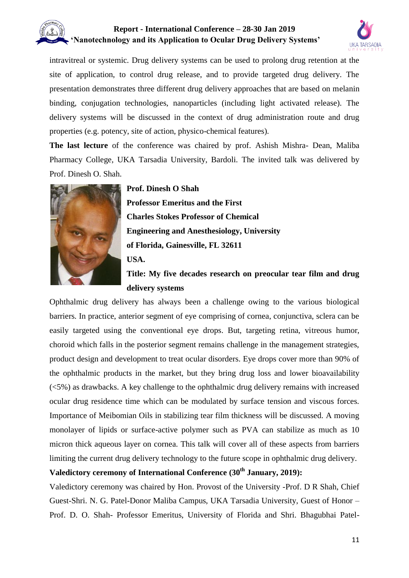

intravitreal or systemic. Drug delivery systems can be used to prolong drug retention at the site of application, to control drug release, and to provide targeted drug delivery. The presentation demonstrates three different drug delivery approaches that are based on melanin binding, conjugation technologies, nanoparticles (including light activated release). The delivery systems will be discussed in the context of drug administration route and drug properties (e.g. potency, site of action, physico-chemical features).

**The last lecture** of the conference was chaired by prof. Ashish Mishra- Dean, Maliba Pharmacy College, UKA Tarsadia University, Bardoli. The invited talk was delivered by Prof. Dinesh O. Shah.



**Prof. Dinesh O Shah Professor Emeritus and the First Charles Stokes Professor of Chemical Engineering and Anesthesiology, University of Florida, Gainesville, FL 32611 USA. Title: My five decades research on preocular tear film and drug** 

#### **delivery systems**

Ophthalmic drug delivery has always been a challenge owing to the various biological barriers. In practice, anterior segment of eye comprising of cornea, conjunctiva, sclera can be easily targeted using the conventional eye drops. But, targeting retina, vitreous humor, choroid which falls in the posterior segment remains challenge in the management strategies, product design and development to treat ocular disorders. Eye drops cover more than 90% of the ophthalmic products in the market, but they bring drug loss and lower bioavailability (<5%) as drawbacks. A key challenge to the ophthalmic drug delivery remains with increased ocular drug residence time which can be modulated by surface tension and viscous forces. Importance of Meibomian Oils in stabilizing tear film thickness will be discussed. A moving monolayer of lipids or surface-active polymer such as PVA can stabilize as much as 10 micron thick aqueous layer on cornea. This talk will cover all of these aspects from barriers limiting the current drug delivery technology to the future scope in ophthalmic drug delivery.

### **Valedictory ceremony of International Conference (30th January, 2019):**

Valedictory ceremony was chaired by Hon. Provost of the University -Prof. D R Shah, Chief Guest-Shri. N. G. Patel-Donor Maliba Campus, UKA Tarsadia University, Guest of Honor – Prof. D. O. Shah- Professor Emeritus, University of Florida and Shri. Bhagubhai Patel-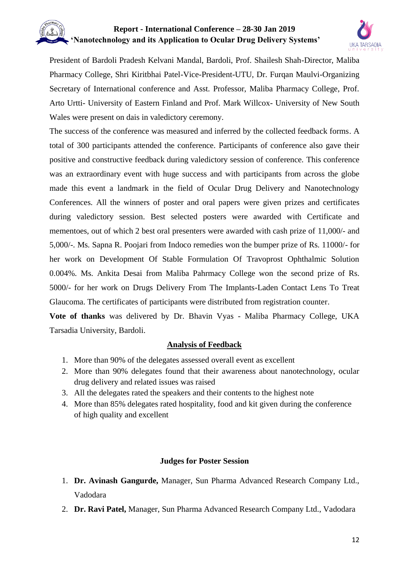

President of Bardoli Pradesh Kelvani Mandal, Bardoli, Prof. Shailesh Shah-Director, Maliba Pharmacy College, Shri Kiritbhai Patel-Vice-President-UTU, Dr. Furqan Maulvi-Organizing Secretary of International conference and Asst. Professor, Maliba Pharmacy College, Prof. Arto Urtti- University of Eastern Finland and Prof. Mark Willcox- University of New South Wales were present on dais in valedictory ceremony.

The success of the conference was measured and inferred by the collected feedback forms. A total of 300 participants attended the conference. Participants of conference also gave their positive and constructive feedback during valedictory session of conference. This conference was an extraordinary event with huge success and with participants from across the globe made this event a landmark in the field of Ocular Drug Delivery and Nanotechnology Conferences. All the winners of poster and oral papers were given prizes and certificates during valedictory session. Best selected posters were awarded with Certificate and mementoes, out of which 2 best oral presenters were awarded with cash prize of 11,000/- and 5,000/-. Ms. Sapna R. Poojari from Indoco remedies won the bumper prize of Rs. 11000/- for her work on Development Of Stable Formulation Of Travoprost Ophthalmic Solution 0.004%. Ms. Ankita Desai from Maliba Pahrmacy College won the second prize of Rs. 5000/- for her work on Drugs Delivery From The Implants-Laden Contact Lens To Treat Glaucoma. The certificates of participants were distributed from registration counter.

**Vote of thanks** was delivered by Dr. Bhavin Vyas - Maliba Pharmacy College, UKA Tarsadia University, Bardoli.

#### **Analysis of Feedback**

- 1. More than 90% of the delegates assessed overall event as excellent
- 2. More than 90% delegates found that their awareness about nanotechnology, ocular drug delivery and related issues was raised
- 3. All the delegates rated the speakers and their contents to the highest note
- 4. More than 85% delegates rated hospitality, food and kit given during the conference of high quality and excellent

#### **Judges for Poster Session**

- 1. **Dr. Avinash Gangurde,** Manager, Sun Pharma Advanced Research Company Ltd., Vadodara
- 2. **Dr. Ravi Patel,** Manager, Sun Pharma Advanced Research Company Ltd., Vadodara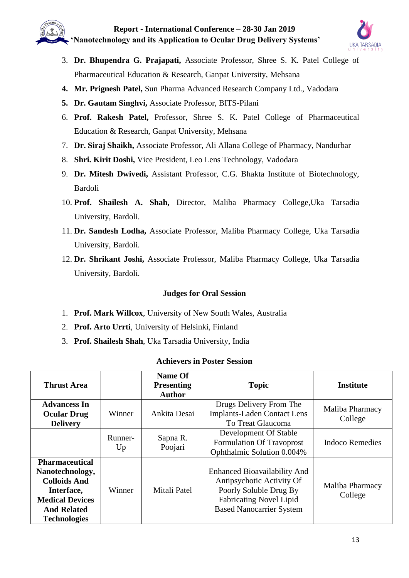

- 3. **Dr. Bhupendra G. Prajapati,** Associate Professor, Shree S. K. Patel College of Pharmaceutical Education & Research, Ganpat University, Mehsana
- **4. Mr. Prignesh Patel,** Sun Pharma Advanced Research Company Ltd., Vadodara
- **5. Dr. Gautam Singhvi,** Associate Professor, BITS-Pilani
- 6. **Prof. Rakesh Patel,** Professor, Shree S. K. Patel College of Pharmaceutical Education & Research, Ganpat University, Mehsana
- 7. **Dr. Siraj Shaikh,** Associate Professor, Ali Allana College of Pharmacy, Nandurbar
- 8. **Shri. Kirit Doshi,** Vice President, Leo Lens Technology, Vadodara
- 9. **Dr. Mitesh Dwivedi,** Assistant Professor, C.G. Bhakta Institute of Biotechnology, Bardoli
- 10. **Prof. Shailesh A. Shah,** Director, Maliba Pharmacy College,Uka Tarsadia University, Bardoli.
- 11. **Dr. Sandesh Lodha,** Associate Professor, Maliba Pharmacy College, Uka Tarsadia University, Bardoli.
- 12. **Dr. Shrikant Joshi,** Associate Professor, Maliba Pharmacy College, Uka Tarsadia University, Bardoli.

#### **Judges for Oral Session**

- 1. **Prof. Mark Willcox**, University of New South Wales, Australia
- 2. **Prof. Arto Urrti**, University of Helsinki, Finland
- 3. **Prof. Shailesh Shah**, Uka Tarsadia University, India

#### **Achievers in Poster Session**

| <b>Thrust Area</b>                                                                                                                                   |               | Name Of<br><b>Presenting</b><br><b>Author</b> | <b>Topic</b>                                                                                                                                                    | <b>Institute</b>           |
|------------------------------------------------------------------------------------------------------------------------------------------------------|---------------|-----------------------------------------------|-----------------------------------------------------------------------------------------------------------------------------------------------------------------|----------------------------|
| <b>Advancess In</b><br><b>Ocular Drug</b><br><b>Delivery</b>                                                                                         | Winner        | Ankita Desai                                  | Drugs Delivery From The<br><b>Implants-Laden Contact Lens</b><br>To Treat Glaucoma                                                                              | Maliba Pharmacy<br>College |
|                                                                                                                                                      | Runner-<br>Up | Sapna R.<br>Poojari                           | Development Of Stable<br>Formulation Of Travoprost<br>Ophthalmic Solution 0.004%                                                                                | Indoco Remedies            |
| <b>Pharmaceutical</b><br>Nanotechnology,<br><b>Colloids And</b><br>Interface,<br><b>Medical Devices</b><br><b>And Related</b><br><b>Technologies</b> | Winner        | Mitali Patel                                  | <b>Enhanced Bioavailability And</b><br>Antipsychotic Activity Of<br>Poorly Soluble Drug By<br><b>Fabricating Novel Lipid</b><br><b>Based Nanocarrier System</b> | Maliba Pharmacy<br>College |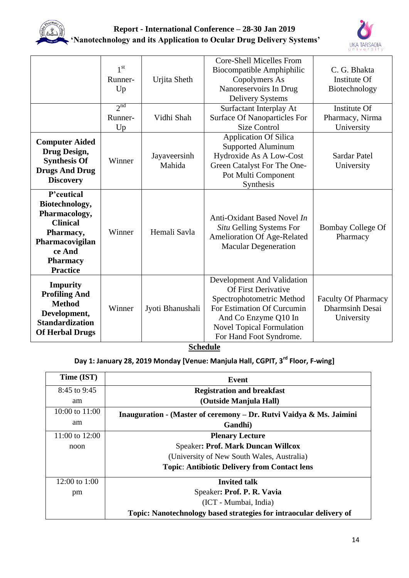



|                                                                                                                                                  | 1 <sup>st</sup><br>Runner-<br>Up | Urjita Sheth           | <b>Core-Shell Micelles From</b><br>Biocompatible Amphiphilic<br>Copolymers As<br>Nanoreservoirs In Drug<br><b>Delivery Systems</b>                                                                         | C. G. Bhakta<br>Institute Of<br>Biotechnology               |
|--------------------------------------------------------------------------------------------------------------------------------------------------|----------------------------------|------------------------|------------------------------------------------------------------------------------------------------------------------------------------------------------------------------------------------------------|-------------------------------------------------------------|
|                                                                                                                                                  | 2 <sub>nd</sub><br>Runner-<br>Up | Vidhi Shah             | Surfactant Interplay At<br><b>Surface Of Nanoparticles For</b><br><b>Size Control</b>                                                                                                                      | Institute Of<br>Pharmacy, Nirma<br>University               |
| <b>Computer Aided</b><br>Drug Design,<br><b>Synthesis Of</b><br><b>Drugs And Drug</b><br><b>Discovery</b>                                        | Winner                           | Jayaveersinh<br>Mahida | <b>Application Of Silica</b><br>Supported Aluminum<br>Hydroxide As A Low-Cost<br>Green Catalyst For The One-<br>Pot Multi Component<br>Synthesis                                                           | <b>Sardar Patel</b><br>University                           |
| P'ceutical<br>Biotechnology,<br>Pharmacology,<br><b>Clinical</b><br>Pharmacy,<br>Pharmacovigilan<br>ce And<br><b>Pharmacy</b><br><b>Practice</b> | Winner                           | Hemali Savla           | Anti-Oxidant Based Novel In<br>Situ Gelling Systems For<br>Amelioration Of Age-Related<br><b>Macular Degeneration</b>                                                                                      | <b>Bombay College Of</b><br>Pharmacy                        |
| <b>Impurity</b><br><b>Profiling And</b><br><b>Method</b><br>Development,<br><b>Standardization</b><br><b>Of Herbal Drugs</b>                     | Winner                           | Jyoti Bhanushali       | Development And Validation<br><b>Of First Derivative</b><br>Spectrophotometric Method<br>For Estimation Of Curcumin<br>And Co Enzyme Q10 In<br><b>Novel Topical Formulation</b><br>For Hand Foot Syndrome. | Faculty Of Pharmacy<br><b>Dharmsinh Desai</b><br>University |

**Schedule**

# **Day 1: January 28, 2019 Monday [Venue: Manjula Hall, CGPIT, 3rd Floor, F-wing]**

| Time (IST)       | Event                                                               |
|------------------|---------------------------------------------------------------------|
| 8:45 to 9:45     | <b>Registration and breakfast</b>                                   |
| am               | (Outside Manjula Hall)                                              |
| 10:00 to $11:00$ | Inauguration - (Master of ceremony – Dr. Rutvi Vaidya & Ms. Jaimini |
| am               | Gandhi)                                                             |
| 11:00 to $12:00$ | <b>Plenary Lecture</b>                                              |
| noon             | <b>Speaker: Prof. Mark Duncan Willcox</b>                           |
|                  | (University of New South Wales, Australia)                          |
|                  | <b>Topic: Antibiotic Delivery from Contact lens</b>                 |
| 12:00 to 1:00    | <b>Invited talk</b>                                                 |
| pm               | Speaker: Prof. P. R. Vavia                                          |
|                  | (ICT - Mumbai, India)                                               |
|                  | Topic: Nanotechnology based strategies for intraocular delivery of  |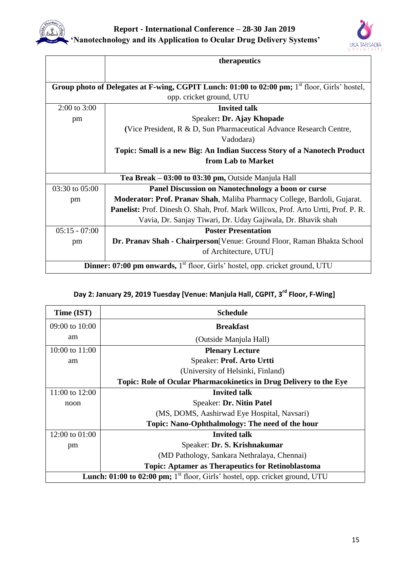



|                                                                                                     | therapeutics                                                                      |  |
|-----------------------------------------------------------------------------------------------------|-----------------------------------------------------------------------------------|--|
|                                                                                                     |                                                                                   |  |
| Group photo of Delegates at F-wing, CGPIT Lunch: $01:00$ to $02:00$ pm; $1st$ floor, Girls' hostel, |                                                                                   |  |
|                                                                                                     | opp. cricket ground, UTU                                                          |  |
| $2:00$ to $3:00$                                                                                    | <b>Invited talk</b>                                                               |  |
| pm                                                                                                  | Speaker: Dr. Ajay Khopade                                                         |  |
|                                                                                                     | (Vice President, R & D, Sun Pharmaceutical Advance Research Centre,               |  |
|                                                                                                     | Vadodara)                                                                         |  |
|                                                                                                     | Topic: Small is a new Big: An Indian Success Story of a Nanotech Product          |  |
|                                                                                                     | from Lab to Market                                                                |  |
|                                                                                                     | Tea Break – 03:00 to 03:30 pm, Outside Manjula Hall                               |  |
| 03:30 to 05:00                                                                                      | Panel Discussion on Nanotechnology a boon or curse                                |  |
| pm                                                                                                  | Moderator: Prof. Pranav Shah, Maliba Pharmacy College, Bardoli, Gujarat.          |  |
|                                                                                                     | Panelist: Prof. Dinesh O. Shah, Prof. Mark Willcox, Prof. Arto Urtti, Prof. P. R. |  |
|                                                                                                     | Vavia, Dr. Sanjay Tiwari, Dr. Uday Gajiwala, Dr. Bhavik shah                      |  |
| $05:15 - 07:00$                                                                                     | <b>Poster Presentation</b>                                                        |  |
| pm                                                                                                  | Dr. Pranav Shah - Chairperson[Venue: Ground Floor, Raman Bhakta School            |  |
|                                                                                                     | of Architecture, UTU]                                                             |  |
| <b>Dinner: 07:00 pm onwards,</b> 1 <sup>st</sup> floor, Girls' hostel, opp. cricket ground, UTU     |                                                                                   |  |

# **Day 2: January 29, 2019 Tuesday [Venue: Manjula Hall, CGPIT, 3rd Floor, F-Wing]**

| Time (IST)       | <b>Schedule</b>                                                                          |  |
|------------------|------------------------------------------------------------------------------------------|--|
| 09:00 to 10:00   | <b>Breakfast</b>                                                                         |  |
| am               | (Outside Manjula Hall)                                                                   |  |
| 10:00 to $11:00$ | <b>Plenary Lecture</b>                                                                   |  |
| am               | Speaker: Prof. Arto Urtti                                                                |  |
|                  | (University of Helsinki, Finland)                                                        |  |
|                  | Topic: Role of Ocular Pharmacokinetics in Drug Delivery to the Eye                       |  |
| 11:00 to 12:00   | <b>Invited talk</b>                                                                      |  |
| noon             | Speaker: Dr. Nitin Patel                                                                 |  |
|                  | (MS, DOMS, Aashirwad Eye Hospital, Navsari)                                              |  |
|                  | Topic: Nano-Ophthalmology: The need of the hour                                          |  |
| 12:00 to 01:00   | <b>Invited talk</b>                                                                      |  |
| pm               | Speaker: Dr. S. Krishnakumar                                                             |  |
|                  | (MD Pathology, Sankara Nethralaya, Chennai)                                              |  |
|                  | <b>Topic: Aptamer as Therapeutics for Retinoblastoma</b>                                 |  |
|                  | Lunch: 01:00 to 02:00 pm; 1 <sup>st</sup> floor, Girls' hostel, opp. cricket ground, UTU |  |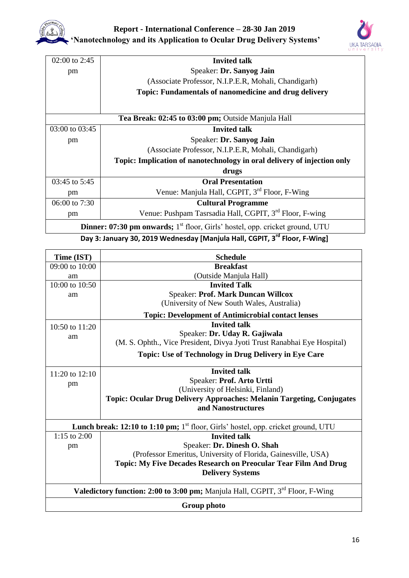

| 02:00 to 2:45                                                                                   | <b>Invited talk</b>                                                     |  |
|-------------------------------------------------------------------------------------------------|-------------------------------------------------------------------------|--|
| pm                                                                                              | Speaker: Dr. Sanyog Jain                                                |  |
|                                                                                                 | (Associate Professor, N.I.P.E.R, Mohali, Chandigarh)                    |  |
|                                                                                                 | <b>Topic: Fundamentals of nanomedicine and drug delivery</b>            |  |
|                                                                                                 |                                                                         |  |
|                                                                                                 | Tea Break: 02:45 to 03:00 pm; Outside Manjula Hall                      |  |
| 03:00 to 03:45                                                                                  | <b>Invited talk</b>                                                     |  |
| pm                                                                                              | Speaker: Dr. Sanyog Jain                                                |  |
|                                                                                                 | (Associate Professor, N.I.P.E.R, Mohali, Chandigarh)                    |  |
|                                                                                                 | Topic: Implication of nanotechnology in oral delivery of injection only |  |
|                                                                                                 | drugs                                                                   |  |
| 03:45 to 5:45                                                                                   | <b>Oral Presentation</b>                                                |  |
| pm                                                                                              | Venue: Manjula Hall, CGPIT, 3 <sup>rd</sup> Floor, F-Wing               |  |
| 06:00 to 7:30                                                                                   | <b>Cultural Programme</b>                                               |  |
| pm                                                                                              | Venue: Pushpam Tasrsadia Hall, CGPIT, 3 <sup>rd</sup> Floor, F-wing     |  |
| <b>Dinner: 07:30 pm onwards;</b> 1 <sup>st</sup> floor, Girls' hostel, opp. cricket ground, UTU |                                                                         |  |

**Day 3: January 30, 2019 Wednesday [Manjula Hall, CGPIT, 3rd Floor, F-Wing]**

| Time (IST)                                                                                       | <b>Schedule</b>                                                              |
|--------------------------------------------------------------------------------------------------|------------------------------------------------------------------------------|
| $09:00$ to $10:00$                                                                               | <b>Breakfast</b>                                                             |
| am                                                                                               | (Outside Manjula Hall)                                                       |
| 10:00 to $10:50$                                                                                 | <b>Invited Talk</b>                                                          |
| am                                                                                               | Speaker: Prof. Mark Duncan Willcox                                           |
|                                                                                                  | (University of New South Wales, Australia)                                   |
|                                                                                                  | <b>Topic: Development of Antimicrobial contact lenses</b>                    |
| 10:50 to 11:20                                                                                   | <b>Invited talk</b>                                                          |
| am                                                                                               | Speaker: Dr. Uday R. Gajiwala                                                |
|                                                                                                  | (M. S. Ophth., Vice President, Divya Jyoti Trust Ranabhai Eye Hospital)      |
|                                                                                                  | <b>Topic: Use of Technology in Drug Delivery in Eye Care</b>                 |
|                                                                                                  |                                                                              |
| 11:20 to $12:10$                                                                                 | <b>Invited talk</b>                                                          |
| pm                                                                                               | Speaker: Prof. Arto Urtti                                                    |
|                                                                                                  | (University of Helsinki, Finland)                                            |
|                                                                                                  | <b>Topic: Ocular Drug Delivery Approaches: Melanin Targeting, Conjugates</b> |
|                                                                                                  | and Nanostructures                                                           |
| <b>Lunch break: 12:10 to 1:10 pm;</b> $1st$ floor, Girls' hostel, opp. cricket ground, UTU       |                                                                              |
| 1:15 to $2:00$                                                                                   | <b>Invited talk</b>                                                          |
| pm                                                                                               | Speaker: Dr. Dinesh O. Shah                                                  |
|                                                                                                  | (Professor Emeritus, University of Florida, Gainesville, USA)                |
|                                                                                                  | Topic: My Five Decades Research on Preocular Tear Film And Drug              |
|                                                                                                  | <b>Delivery Systems</b>                                                      |
| <b>Valedictory function: 2:00 to 3:00 pm;</b> Manjula Hall, CGPIT, 3 <sup>rd</sup> Floor, F-Wing |                                                                              |
| <b>Group photo</b>                                                                               |                                                                              |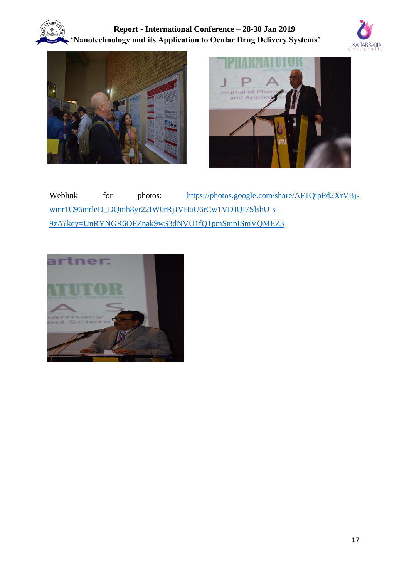







Weblink for photos: https://photos.google.com/share/AF1QipPd2XrVBjwmr1C96mrleD\_DQmh8yr22IW0rRjJVHaU6rCw1VDJQI7SlshU-s-9zA?key=UnRYNGR6OFZnak9wS3dNVU1fQ1pmSmpISmVQMEZ3